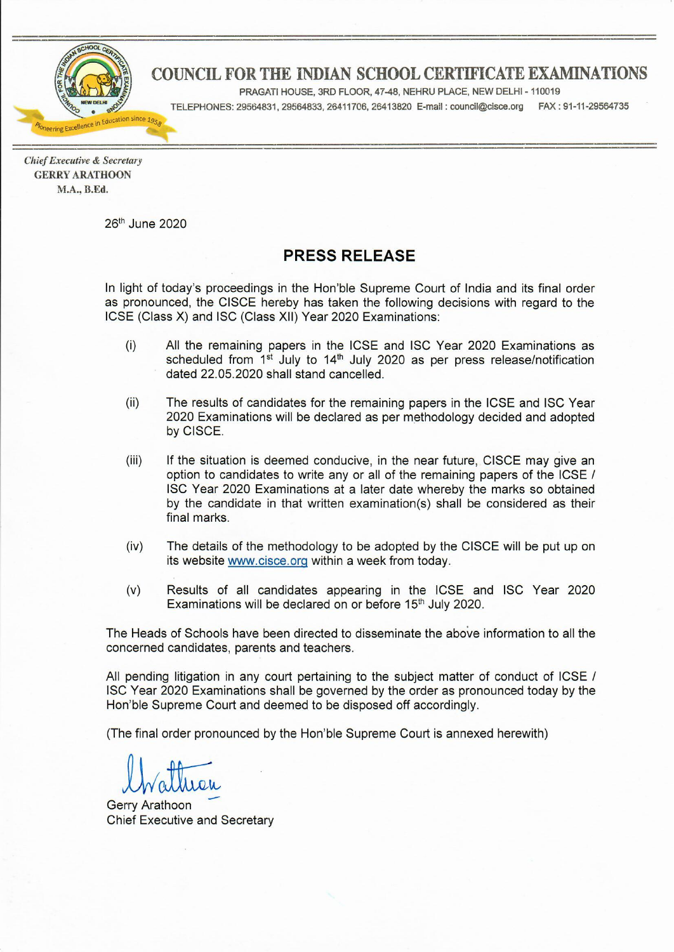

# COUNCIL FOR THE INDIAN SCHOOL CERTIFICATE EXAMINATIONS

PRAGATI HOUSE, 3RD FLOOR, 47-48, NEHRU PLACE, NEW DELHI - 110019

TELEPHONES: 29564831, 29564833, 26411706, 26413820 E-mail : council@cisce.org FAX: 91-11-29564735

**Chief Executive & Secretary GERRY ARATHOON** M.A., B.Ed.

26th June 2020

## **PRESS RELEASE**

In light of today's proceedings in the Hon'ble Supreme Court of India and its final order as pronounced, the CISCE hereby has taken the following decisions with regard to the ICSE (Class X) and ISC (Class XII) Year 2020 Examinations:

- $(i)$ All the remaining papers in the ICSE and ISC Year 2020 Examinations as scheduled from 1<sup>st</sup> July to 14<sup>th</sup> July 2020 as per press release/notification dated 22.05.2020 shall stand cancelled.
- $(ii)$ The results of candidates for the remaining papers in the ICSE and ISC Year 2020 Examinations will be declared as per methodology decided and adopted by CISCE.
- $(iii)$ If the situation is deemed conducive, in the near future, CISCE may give an option to candidates to write any or all of the remaining papers of the ICSE / ISC Year 2020 Examinations at a later date whereby the marks so obtained by the candidate in that written examination(s) shall be considered as their final marks.
- $(iv)$ The details of the methodology to be adopted by the CISCE will be put up on its website www.cisce.org within a week from today.
- $(v)$ Results of all candidates appearing in the ICSE and ISC Year 2020 Examinations will be declared on or before 15<sup>th</sup> July 2020.

The Heads of Schools have been directed to disseminate the above information to all the concerned candidates, parents and teachers.

All pending litigation in any court pertaining to the subject matter of conduct of ICSE / ISC Year 2020 Examinations shall be governed by the order as pronounced today by the Hon'ble Supreme Court and deemed to be disposed off accordingly.

(The final order pronounced by the Hon'ble Supreme Court is annexed herewith)

**Gerry Arathoon Chief Executive and Secretary**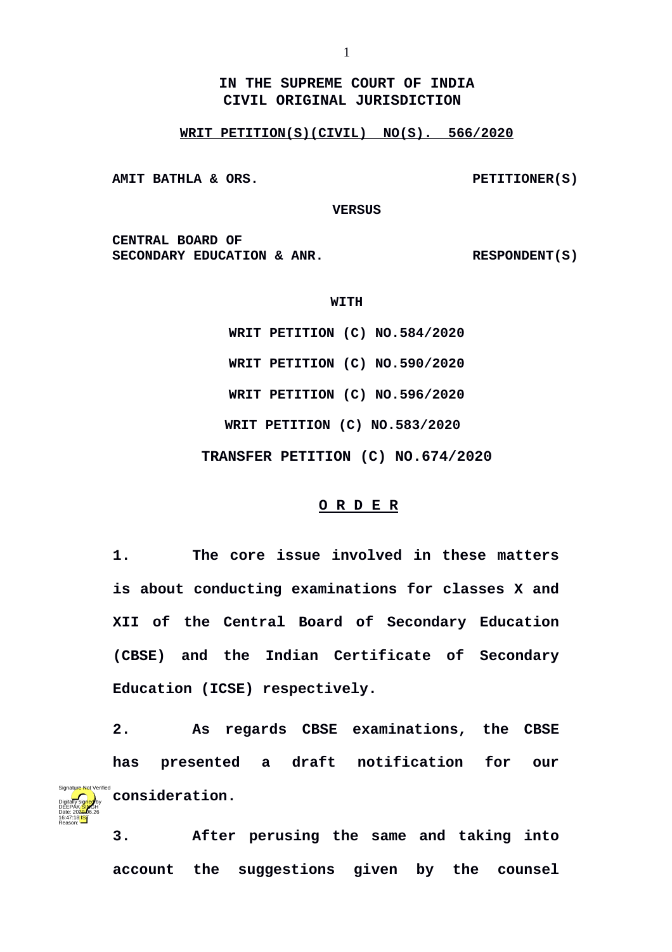**IN THE SUPREME COURT OF INDIA CIVIL ORIGINAL JURISDICTION** 

### **WRIT PETITION(S)(CIVIL) NO(S). 566/2020**

AMIT BATHLA & ORS. PETITIONER(S)

Digitally signed by DEEPAK<mark>/SIN</mark>GH Date: 2020.06.26 16:47:18<sup>1S</sup> Reason:

 **VERSUS**

**CENTRAL BOARD OF**  SECONDARY EDUCATION & ANR. RESPONDENT(S)

**WITH**

**WRIT PETITION (C) NO.584/2020 WRIT PETITION (C) NO.590/2020 WRIT PETITION (C) NO.596/2020 WRIT PETITION (C) NO.583/2020 TRANSFER PETITION (C) NO.674/2020**

#### **O R D E R**

**1. The core issue involved in these matters is about conducting examinations for classes X and XII of the Central Board of Secondary Education (CBSE) and the Indian Certificate of Secondary Education (ICSE) respectively.**

**2. As regards CBSE examinations, the CBSE has presented a draft notification for our consideration.** Signature Not Verified

> **3. After perusing the same and taking into account the suggestions given by the counsel**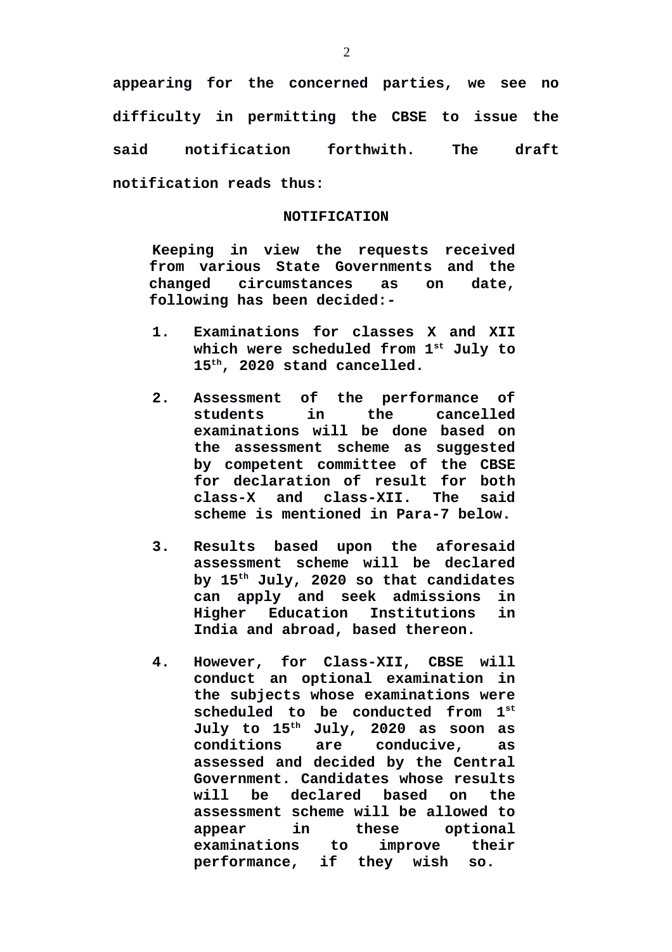**appearing for the concerned parties, we see no difficulty in permitting the CBSE to issue the said notification forthwith. The draft notification reads thus:**

### **NOTIFICATION**

**Keeping in view the requests received from various State Governments and the changed circumstances as on date, following has been decided:-**

- **1. Examinations for classes X and XII which were scheduled from 1st July to 15th, 2020 stand cancelled.**
- **2. Assessment of the performance of students in the cancelled examinations will be done based on the assessment scheme as suggested by competent committee of the CBSE for declaration of result for both class-X and class-XII. The said scheme is mentioned in Para-7 below.**
- **3. Results based upon the aforesaid assessment scheme will be declared by 15th July, 2020 so that candidates can apply and seek admissions in Higher Education Institutions in India and abroad, based thereon.**
- **4. However, for Class-XII, CBSE will conduct an optional examination in the subjects whose examinations were scheduled to be conducted from 1st July to 15th July, 2020 as soon as conditions are conducive, as assessed and decided by the Central Government. Candidates whose results will be declared based on the assessment scheme will be allowed to appear in these optional examinations to improve their performance, if they wish so.**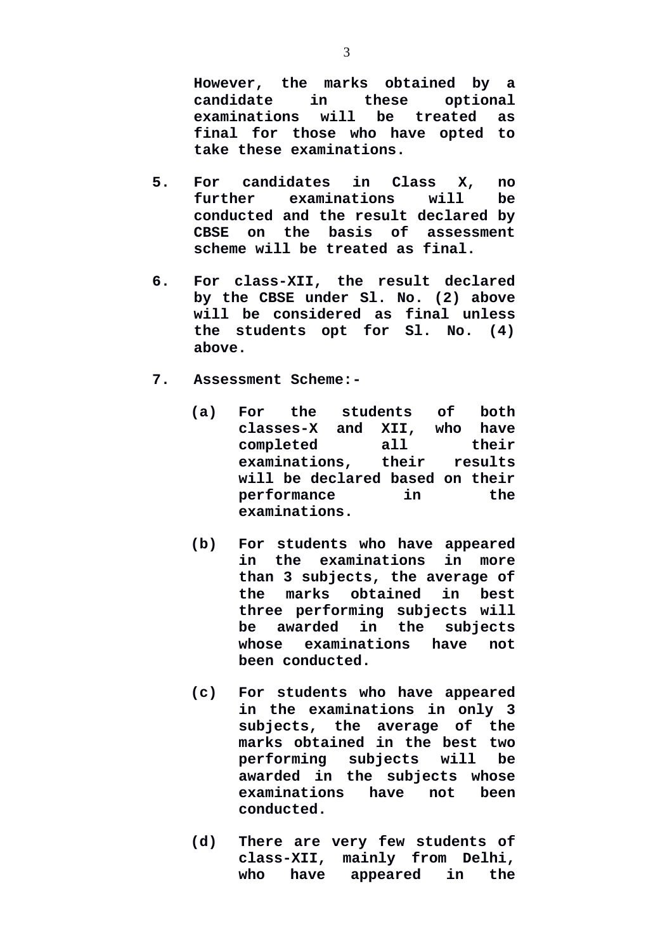**However, the marks obtained by a candidate in these optional examinations will be treated as final for those who have opted to take these examinations.**

- **5. For candidates in Class X, no further examinations will be conducted and the result declared by CBSE on the basis of assessment scheme will be treated as final.**
- **6. For class-XII, the result declared by the CBSE under Sl. No. (2) above will be considered as final unless the students opt for Sl. No. (4) above.**
- **7. Assessment Scheme:-**
	- **(a) For the students of both classes-X and XII, who have completed all their examinations, their results will be declared based on their performance in the examinations.**
	- **(b) For students who have appeared in the examinations in more than 3 subjects, the average of the marks obtained in best three performing subjects will be awarded in the subjects whose examinations have not been conducted.**
	- **(c) For students who have appeared in the examinations in only 3 subjects, the average of the marks obtained in the best two performing subjects will be awarded in the subjects whose examinations have not been conducted.**
	- **(d) There are very few students of class-XII, mainly from Delhi, who have appeared in the**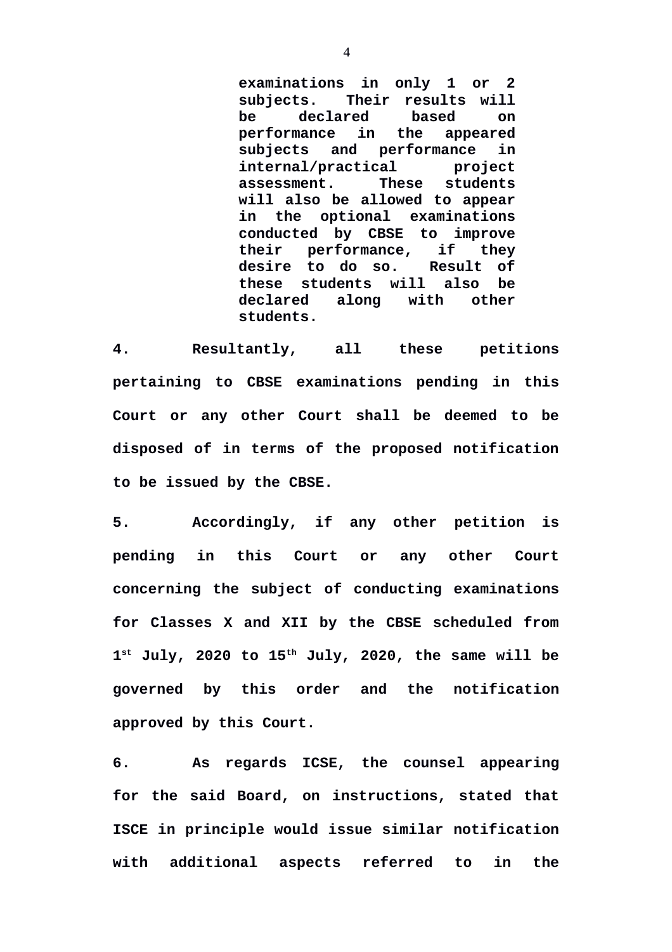**examinations in only 1 or 2 subjects. Their results will be declared based on performance in the appeared subjects and performance in internal/practical project assessment. These students will also be allowed to appear in the optional examinations conducted by CBSE to improve their performance, if they desire to do so. Result of these students will also be declared along with other students.**

**4. Resultantly, all these petitions pertaining to CBSE examinations pending in this Court or any other Court shall be deemed to be disposed of in terms of the proposed notification to be issued by the CBSE.**

**5. Accordingly, if any other petition is pending in this Court or any other Court concerning the subject of conducting examinations for Classes X and XII by the CBSE scheduled from 1 st July, 2020 to 15th July, 2020, the same will be governed by this order and the notification approved by this Court.**

**6. As regards ICSE, the counsel appearing for the said Board, on instructions, stated that ISCE in principle would issue similar notification with additional aspects referred to in the**

4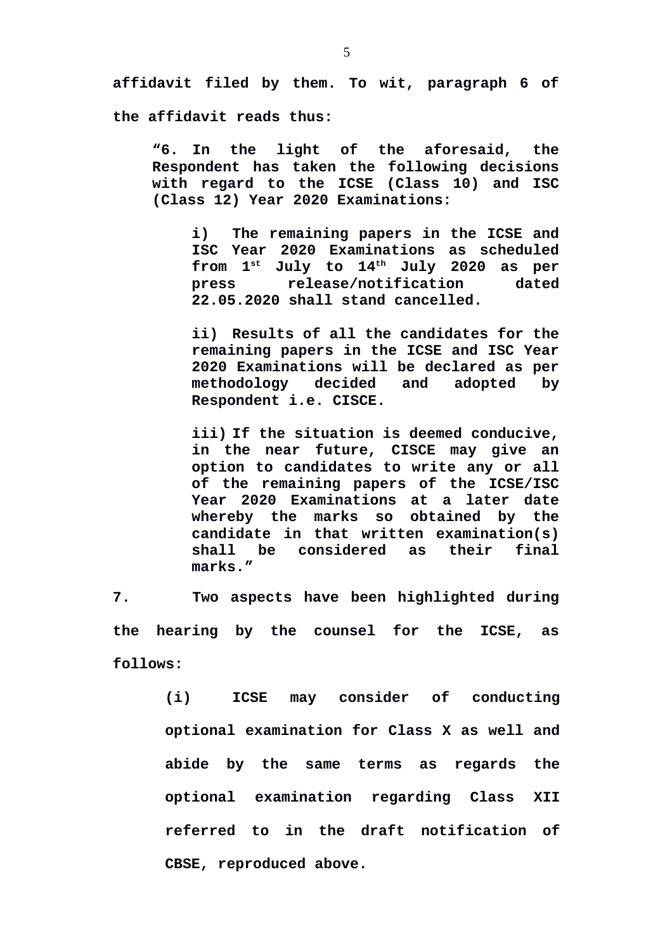**affidavit filed by them. To wit, paragraph 6 of**

**the affidavit reads thus:**

**"6. In the light of the aforesaid, the Respondent has taken the following decisions with regard to the ICSE (Class 10) and ISC (Class 12) Year 2020 Examinations:**

**i) The remaining papers in the ICSE and ISC Year 2020 Examinations as scheduled from 1st July to 14th July 2020 as per press release/notification dated 22.05.2020 shall stand cancelled.**

**ii) Results of all the candidates for the remaining papers in the ICSE and ISC Year 2020 Examinations will be declared as per methodology decided and adopted by Respondent i.e. CISCE.**

**iii) If the situation is deemed conducive, in the near future, CISCE may give an option to candidates to write any or all of the remaining papers of the ICSE/ISC Year 2020 Examinations at a later date whereby the marks so obtained by the candidate in that written examination(s) shall be considered as their final marks."**

**7. Two aspects have been highlighted during the hearing by the counsel for the ICSE, as follows:**

> **(i) ICSE may consider of conducting optional examination for Class X as well and abide by the same terms as regards the optional examination regarding Class XII referred to in the draft notification of CBSE, reproduced above.**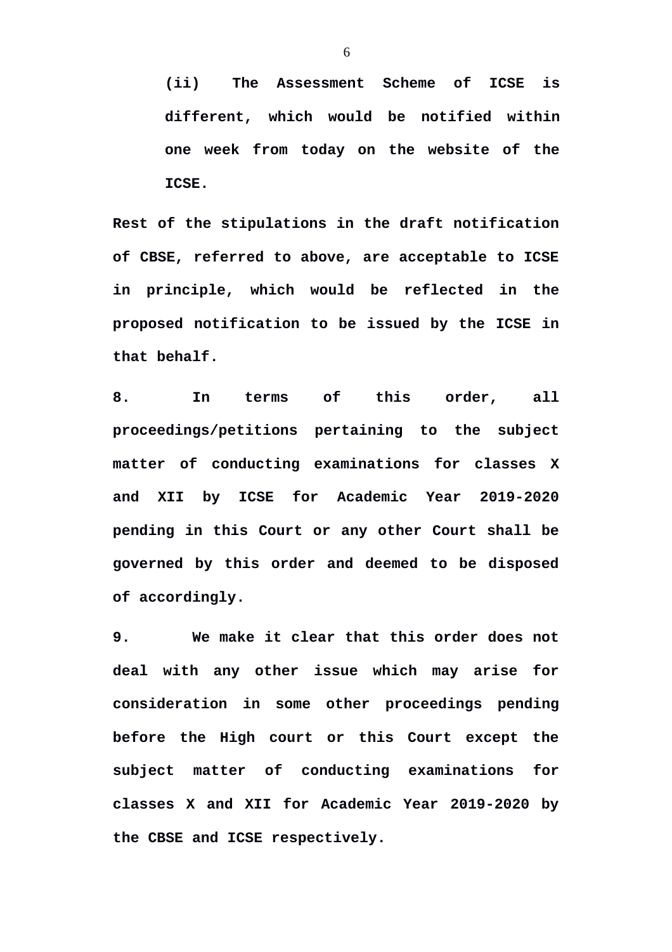**(ii) The Assessment Scheme of ICSE is different, which would be notified within one week from today on the website of the ICSE.**

**Rest of the stipulations in the draft notification of CBSE, referred to above, are acceptable to ICSE in principle, which would be reflected in the proposed notification to be issued by the ICSE in that behalf.**

**8. In terms of this order, all proceedings/petitions pertaining to the subject matter of conducting examinations for classes X and XII by ICSE for Academic Year 2019-2020 pending in this Court or any other Court shall be governed by this order and deemed to be disposed of accordingly.**

**9. We make it clear that this order does not deal with any other issue which may arise for consideration in some other proceedings pending before the High court or this Court except the subject matter of conducting examinations for classes X and XII for Academic Year 2019-2020 by the CBSE and ICSE respectively.**

6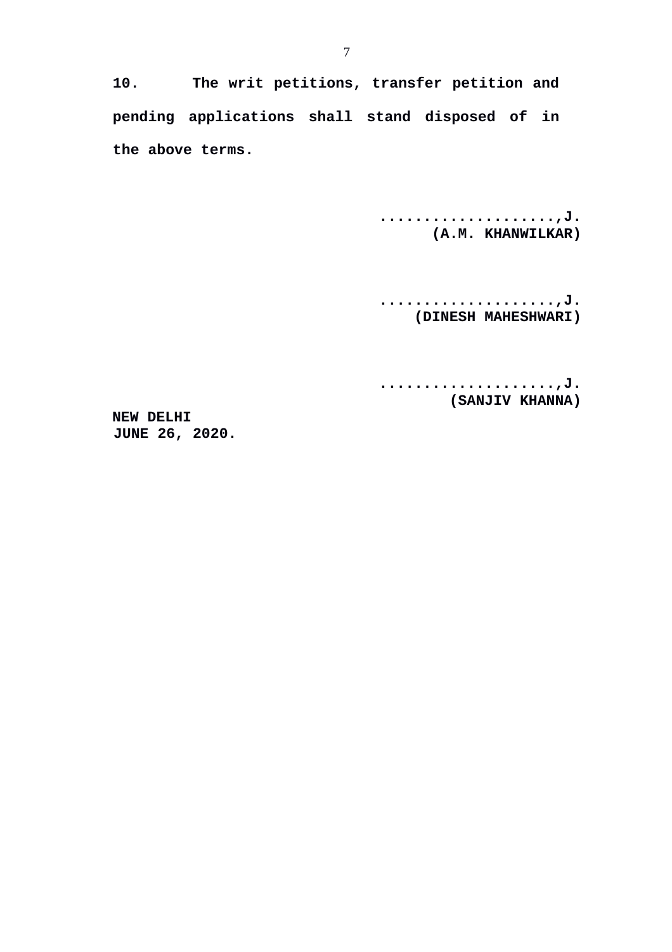**10. The writ petitions, transfer petition and pending applications shall stand disposed of in the above terms.**

> **....................,J. (A.M. KHANWILKAR)**

> **....................,J. (DINESH MAHESHWARI)**

> **....................,J. (SANJIV KHANNA)**

**NEW DELHI JUNE 26, 2020.**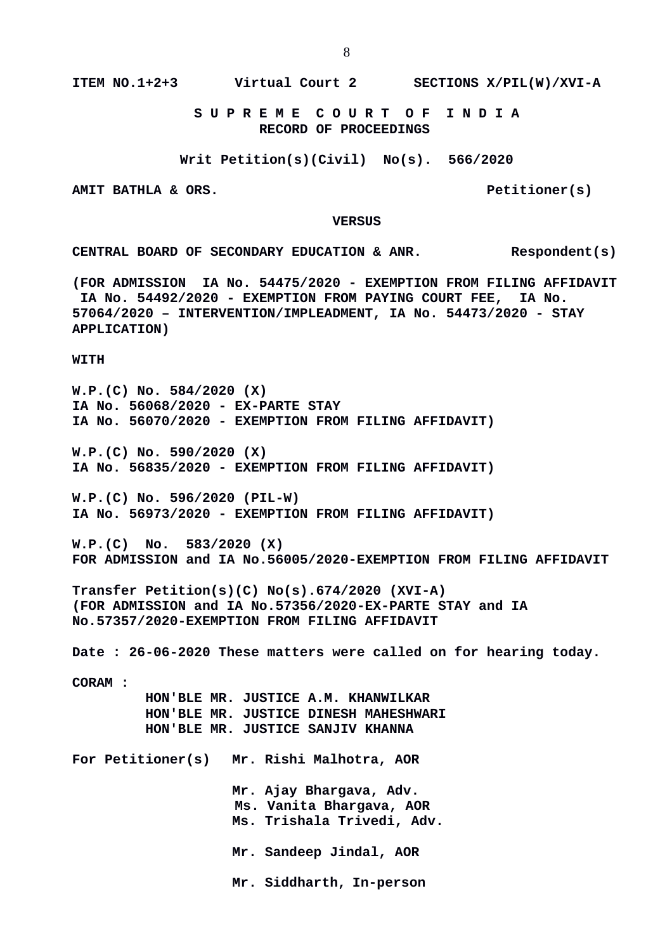**ITEM NO.1+2+3 Virtual Court 2 SECTIONS X/PIL(W)/XVI-A**

 **S U P R E M E C O U R T O F I N D I A RECORD OF PROCEEDINGS**

**Writ Petition(s)(Civil) No(s). 566/2020**

AMIT BATHLA & ORS. **Petitioner(s)** 

#### **VERSUS**

**CENTRAL BOARD OF SECONDARY EDUCATION & ANR. Respondent(s)**

**(FOR ADMISSION IA No. 54475/2020 - EXEMPTION FROM FILING AFFIDAVIT IA No. 54492/2020 - EXEMPTION FROM PAYING COURT FEE, IA No. 57064/2020 – INTERVENTION/IMPLEADMENT, IA No. 54473/2020 - STAY APPLICATION)**

**WITH**

**W.P.(C) No. 584/2020 (X) IA No. 56068/2020 - EX-PARTE STAY IA No. 56070/2020 - EXEMPTION FROM FILING AFFIDAVIT)**

**W.P.(C) No. 590/2020 (X) IA No. 56835/2020 - EXEMPTION FROM FILING AFFIDAVIT)**

**W.P.(C) No. 596/2020 (PIL-W) IA No. 56973/2020 - EXEMPTION FROM FILING AFFIDAVIT)**

**W.P.(C) No. 583/2020 (X) FOR ADMISSION and IA No.56005/2020-EXEMPTION FROM FILING AFFIDAVIT** 

**Transfer Petition(s)(C) No(s).674/2020 (XVI-A) (FOR ADMISSION and IA No.57356/2020-EX-PARTE STAY and IA No.57357/2020-EXEMPTION FROM FILING AFFIDAVIT** 

**Date : 26-06-2020 These matters were called on for hearing today.**

**CORAM :** 

 **HON'BLE MR. JUSTICE A.M. KHANWILKAR HON'BLE MR. JUSTICE DINESH MAHESHWARI HON'BLE MR. JUSTICE SANJIV KHANNA**

**For Petitioner(s) Mr. Rishi Malhotra, AOR**

**Mr. Ajay Bhargava, Adv. Ms. Vanita Bhargava, AOR Ms. Trishala Trivedi, Adv. Mr. Sandeep Jindal, AOR**

**Mr. Siddharth, In-person**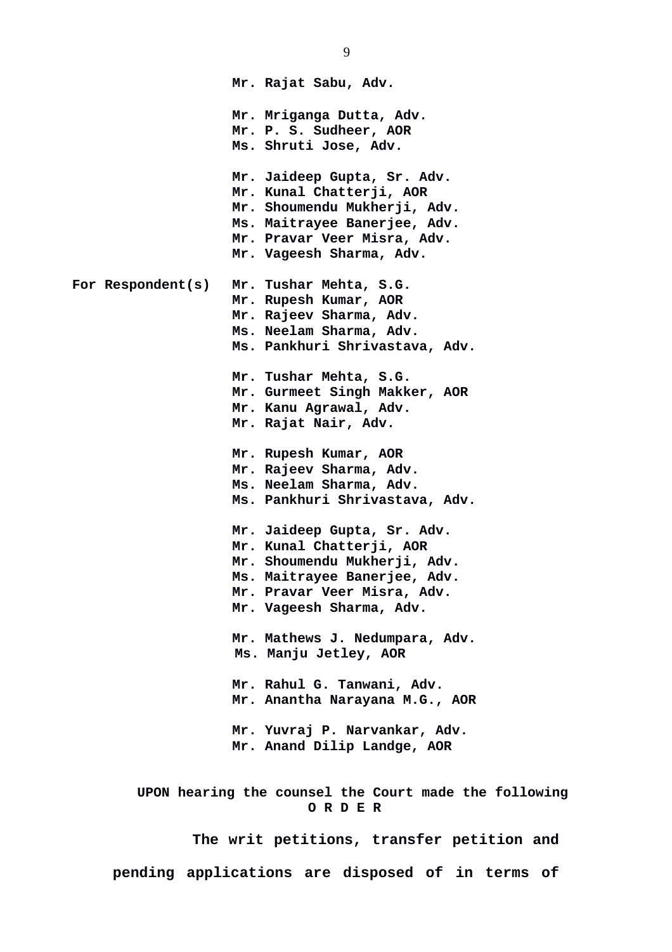**Mr. Rajat Sabu, Adv. Mr. Mriganga Dutta, Adv. Mr. P. S. Sudheer, AOR Ms. Shruti Jose, Adv. Mr. Jaideep Gupta, Sr. Adv. Mr. Kunal Chatterji, AOR Mr. Shoumendu Mukherji, Adv. Ms. Maitrayee Banerjee, Adv. Mr. Pravar Veer Misra, Adv. Mr. Vageesh Sharma, Adv. For Respondent(s) Mr. Tushar Mehta, S.G. Mr. Rupesh Kumar, AOR Mr. Rajeev Sharma, Adv. Ms. Neelam Sharma, Adv. Ms. Pankhuri Shrivastava, Adv. Mr. Tushar Mehta, S.G. Mr. Gurmeet Singh Makker, AOR Mr. Kanu Agrawal, Adv. Mr. Rajat Nair, Adv. Mr. Rupesh Kumar, AOR Mr. Rajeev Sharma, Adv. Ms. Neelam Sharma, Adv. Ms. Pankhuri Shrivastava, Adv. Mr. Jaideep Gupta, Sr. Adv. Mr. Kunal Chatterji, AOR Mr. Shoumendu Mukherji, Adv. Ms. Maitrayee Banerjee, Adv. Mr. Pravar Veer Misra, Adv. Mr. Vageesh Sharma, Adv. Mr. Mathews J. Nedumpara, Adv. Ms. Manju Jetley, AOR Mr. Rahul G. Tanwani, Adv. Mr. Anantha Narayana M.G., AOR Mr. Yuvraj P. Narvankar, Adv. Mr. Anand Dilip Landge, AOR UPON hearing the counsel the Court made the following O R D E R The writ petitions, transfer petition and pending applications are disposed of in terms of**